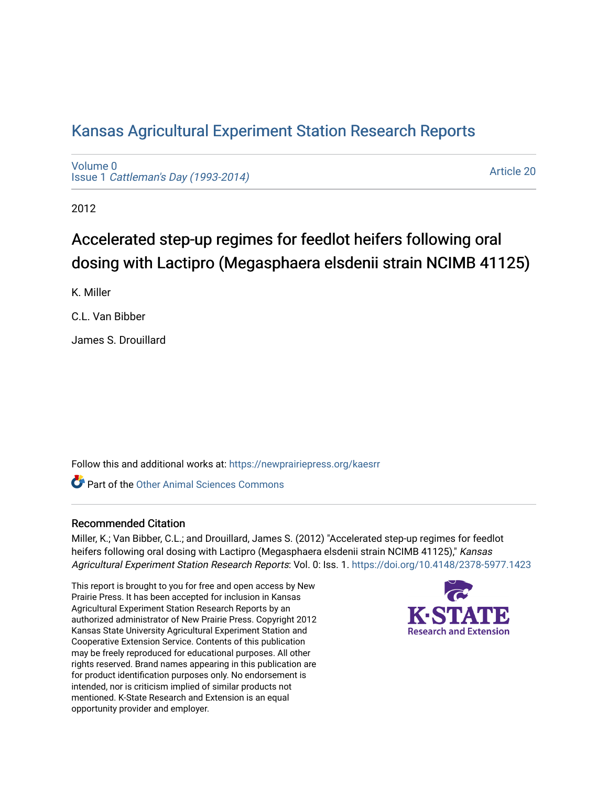# [Kansas Agricultural Experiment Station Research Reports](https://newprairiepress.org/kaesrr)

[Volume 0](https://newprairiepress.org/kaesrr/vol0) Issue 1 [Cattleman's Day \(1993-2014\)](https://newprairiepress.org/kaesrr/vol0/iss1) 

[Article 20](https://newprairiepress.org/kaesrr/vol0/iss1/20) 

2012

# Accelerated step-up regimes for feedlot heifers following oral dosing with Lactipro (Megasphaera elsdenii strain NCIMB 41125)

K. Miller

C.L. Van Bibber

James S. Drouillard

Follow this and additional works at: [https://newprairiepress.org/kaesrr](https://newprairiepress.org/kaesrr?utm_source=newprairiepress.org%2Fkaesrr%2Fvol0%2Fiss1%2F20&utm_medium=PDF&utm_campaign=PDFCoverPages) 

**C** Part of the [Other Animal Sciences Commons](http://network.bepress.com/hgg/discipline/82?utm_source=newprairiepress.org%2Fkaesrr%2Fvol0%2Fiss1%2F20&utm_medium=PDF&utm_campaign=PDFCoverPages)

### Recommended Citation

Miller, K.; Van Bibber, C.L.; and Drouillard, James S. (2012) "Accelerated step-up regimes for feedlot heifers following oral dosing with Lactipro (Megasphaera elsdenii strain NCIMB 41125)," Kansas Agricultural Experiment Station Research Reports: Vol. 0: Iss. 1.<https://doi.org/10.4148/2378-5977.1423>

This report is brought to you for free and open access by New Prairie Press. It has been accepted for inclusion in Kansas Agricultural Experiment Station Research Reports by an authorized administrator of New Prairie Press. Copyright 2012 Kansas State University Agricultural Experiment Station and Cooperative Extension Service. Contents of this publication may be freely reproduced for educational purposes. All other rights reserved. Brand names appearing in this publication are for product identification purposes only. No endorsement is intended, nor is criticism implied of similar products not mentioned. K-State Research and Extension is an equal opportunity provider and employer.

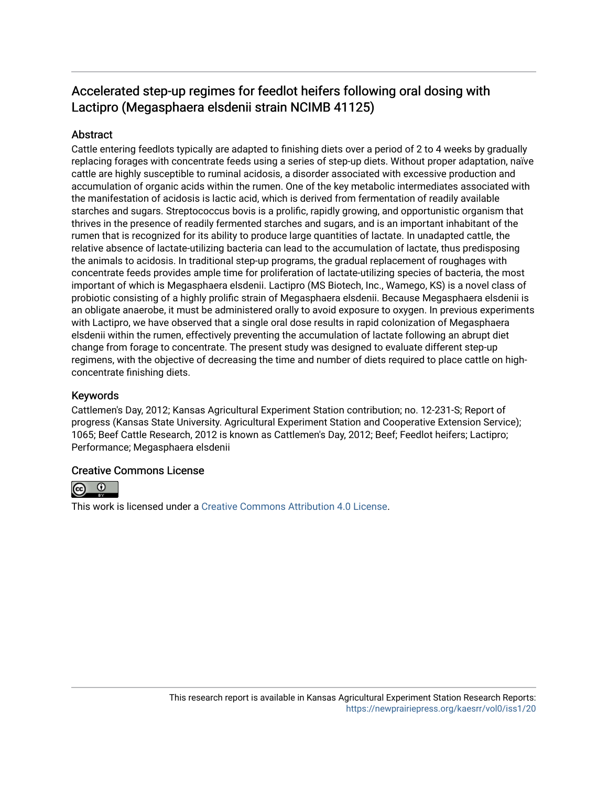# Accelerated step-up regimes for feedlot heifers following oral dosing with Lactipro (Megasphaera elsdenii strain NCIMB 41125)

### **Abstract**

Cattle entering feedlots typically are adapted to finishing diets over a period of 2 to 4 weeks by gradually replacing forages with concentrate feeds using a series of step-up diets. Without proper adaptation, naïve cattle are highly susceptible to ruminal acidosis, a disorder associated with excessive production and accumulation of organic acids within the rumen. One of the key metabolic intermediates associated with the manifestation of acidosis is lactic acid, which is derived from fermentation of readily available starches and sugars. Streptococcus bovis is a prolific, rapidly growing, and opportunistic organism that thrives in the presence of readily fermented starches and sugars, and is an important inhabitant of the rumen that is recognized for its ability to produce large quantities of lactate. In unadapted cattle, the relative absence of lactate-utilizing bacteria can lead to the accumulation of lactate, thus predisposing the animals to acidosis. In traditional step-up programs, the gradual replacement of roughages with concentrate feeds provides ample time for proliferation of lactate-utilizing species of bacteria, the most important of which is Megasphaera elsdenii. Lactipro (MS Biotech, Inc., Wamego, KS) is a novel class of probiotic consisting of a highly prolific strain of Megasphaera elsdenii. Because Megasphaera elsdenii is an obligate anaerobe, it must be administered orally to avoid exposure to oxygen. In previous experiments with Lactipro, we have observed that a single oral dose results in rapid colonization of Megasphaera elsdenii within the rumen, effectively preventing the accumulation of lactate following an abrupt diet change from forage to concentrate. The present study was designed to evaluate different step-up regimens, with the objective of decreasing the time and number of diets required to place cattle on highconcentrate finishing diets.

### Keywords

Cattlemen's Day, 2012; Kansas Agricultural Experiment Station contribution; no. 12-231-S; Report of progress (Kansas State University. Agricultural Experiment Station and Cooperative Extension Service); 1065; Beef Cattle Research, 2012 is known as Cattlemen's Day, 2012; Beef; Feedlot heifers; Lactipro; Performance; Megasphaera elsdenii

### Creative Commons License



This work is licensed under a [Creative Commons Attribution 4.0 License](https://creativecommons.org/licenses/by/4.0/).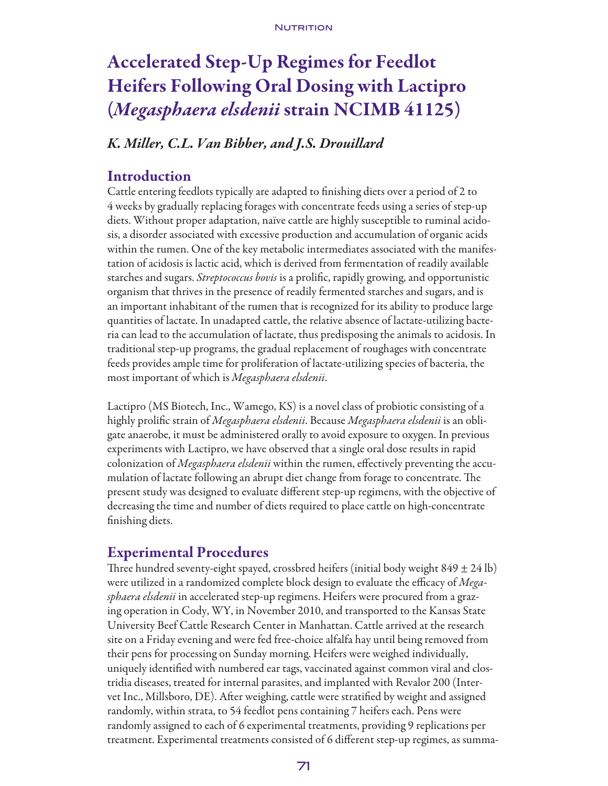#### NUTRITION

# Accelerated Step-Up Regimes for Feedlot Heifers Following Oral Dosing with Lactipro (*Megasphaera elsdenii* strain NCIMB 41125)

# *K. Miller, C.L. Van Bibber, and J.S. Drouillard*

## Introduction

Cattle entering feedlots typically are adapted to finishing diets over a period of 2 to 4 weeks by gradually replacing forages with concentrate feeds using a series of step-up diets. Without proper adaptation, naïve cattle are highly susceptible to ruminal acidosis, a disorder associated with excessive production and accumulation of organic acids within the rumen. One of the key metabolic intermediates associated with the manifestation of acidosis is lactic acid, which is derived from fermentation of readily available starches and sugars. *Streptococcus bovis* is a prolific, rapidly growing, and opportunistic organism that thrives in the presence of readily fermented starches and sugars, and is an important inhabitant of the rumen that is recognized for its ability to produce large quantities of lactate. In unadapted cattle, the relative absence of lactate-utilizing bacteria can lead to the accumulation of lactate, thus predisposing the animals to acidosis. In traditional step-up programs, the gradual replacement of roughages with concentrate feeds provides ample time for proliferation of lactate-utilizing species of bacteria, the most important of which is *Megasphaera elsdenii*.

Lactipro (MS Biotech, Inc., Wamego, KS) is a novel class of probiotic consisting of a highly prolific strain of *Megasphaera elsdenii*. Because *Megasphaera elsdenii* is an obligate anaerobe, it must be administered orally to avoid exposure to oxygen. In previous experiments with Lactipro, we have observed that a single oral dose results in rapid colonization of *Megasphaera elsdenii* within the rumen, effectively preventing the accumulation of lactate following an abrupt diet change from forage to concentrate. The present study was designed to evaluate different step-up regimens, with the objective of decreasing the time and number of diets required to place cattle on high-concentrate finishing diets.

# Experimental Procedures

Three hundred seventy-eight spayed, crossbred heifers (initial body weight  $849 \pm 24$  lb) were utilized in a randomized complete block design to evaluate the efficacy of *Megasphaera elsdenii* in accelerated step-up regimens. Heifers were procured from a grazing operation in Cody, WY, in November 2010, and transported to the Kansas State University Beef Cattle Research Center in Manhattan. Cattle arrived at the research site on a Friday evening and were fed free-choice alfalfa hay until being removed from their pens for processing on Sunday morning. Heifers were weighed individually, uniquely identified with numbered ear tags, vaccinated against common viral and clostridia diseases, treated for internal parasites, and implanted with Revalor 200 (Intervet Inc., Millsboro, DE). After weighing, cattle were stratified by weight and assigned randomly, within strata, to 54 feedlot pens containing 7 heifers each. Pens were randomly assigned to each of 6 experimental treatments, providing 9 replications per treatment. Experimental treatments consisted of 6 different step-up regimes, as summa-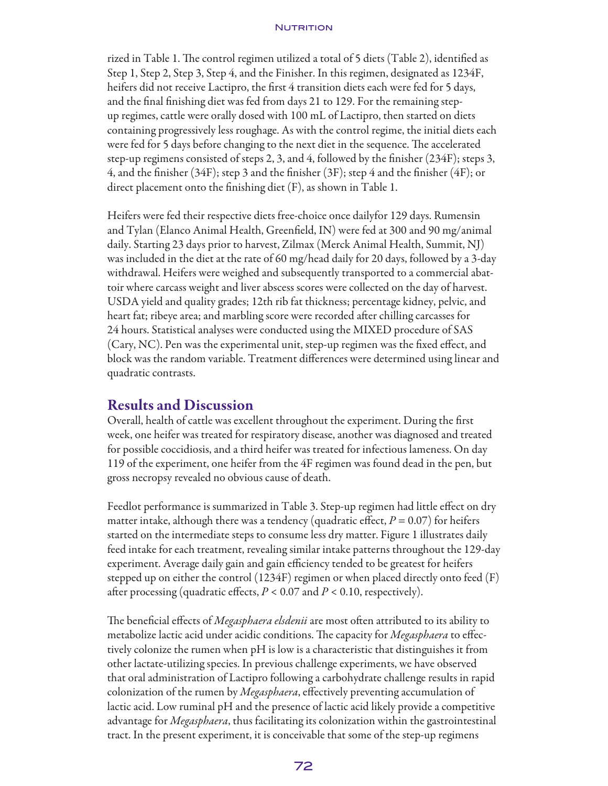#### **NUTRITION**

rized in Table 1. The control regimen utilized a total of 5 diets (Table 2), identified as Step 1, Step 2, Step 3, Step 4, and the Finisher. In this regimen, designated as 1234F, heifers did not receive Lactipro, the first 4 transition diets each were fed for 5 days, and the final finishing diet was fed from days 21 to 129. For the remaining stepup regimes, cattle were orally dosed with 100 mL of Lactipro, then started on diets containing progressively less roughage. As with the control regime, the initial diets each were fed for 5 days before changing to the next diet in the sequence. The accelerated step-up regimens consisted of steps 2, 3, and 4, followed by the finisher (234F); steps 3, 4, and the finisher (34F); step 3 and the finisher (3F); step 4 and the finisher (4F); or direct placement onto the finishing diet (F), as shown in Table 1.

Heifers were fed their respective diets free-choice once dailyfor 129 days. Rumensin and Tylan (Elanco Animal Health, Greenfield, IN) were fed at 300 and 90 mg/animal daily. Starting 23 days prior to harvest, Zilmax (Merck Animal Health, Summit, NJ) was included in the diet at the rate of 60 mg/head daily for 20 days, followed by a 3-day withdrawal. Heifers were weighed and subsequently transported to a commercial abattoir where carcass weight and liver abscess scores were collected on the day of harvest. USDA yield and quality grades; 12th rib fat thickness; percentage kidney, pelvic, and heart fat; ribeye area; and marbling score were recorded after chilling carcasses for 24 hours. Statistical analyses were conducted using the MIXED procedure of SAS (Cary, NC). Pen was the experimental unit, step-up regimen was the fixed effect, and block was the random variable. Treatment differences were determined using linear and quadratic contrasts.

## Results and Discussion

Overall, health of cattle was excellent throughout the experiment. During the first week, one heifer was treated for respiratory disease, another was diagnosed and treated for possible coccidiosis, and a third heifer was treated for infectious lameness. On day 119 of the experiment, one heifer from the 4F regimen was found dead in the pen, but gross necropsy revealed no obvious cause of death.

Feedlot performance is summarized in Table 3. Step-up regimen had little effect on dry matter intake, although there was a tendency (quadratic effect,  $P = 0.07$ ) for heifers started on the intermediate steps to consume less dry matter. Figure 1 illustrates daily feed intake for each treatment, revealing similar intake patterns throughout the 129-day experiment. Average daily gain and gain efficiency tended to be greatest for heifers stepped up on either the control (1234F) regimen or when placed directly onto feed (F) after processing (quadratic effects,  $P < 0.07$  and  $P < 0.10$ , respectively).

The beneficial effects of *Megasphaera elsdenii* are most often attributed to its ability to metabolize lactic acid under acidic conditions. The capacity for *Megasphaera* to effectively colonize the rumen when pH is low is a characteristic that distinguishes it from other lactate-utilizing species. In previous challenge experiments, we have observed that oral administration of Lactipro following a carbohydrate challenge results in rapid colonization of the rumen by *Megasphaera*, effectively preventing accumulation of lactic acid. Low ruminal pH and the presence of lactic acid likely provide a competitive advantage for *Megasphaera*, thus facilitating its colonization within the gastrointestinal tract. In the present experiment, it is conceivable that some of the step-up regimens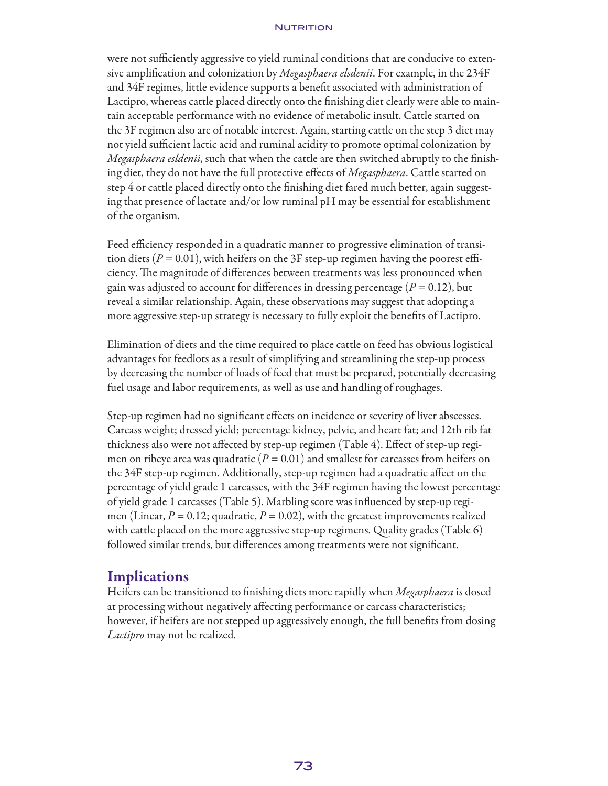#### NUTRITION

were not sufficiently aggressive to yield ruminal conditions that are conducive to extensive amplification and colonization by *Megasphaera elsdenii*. For example, in the 234F and 34F regimes, little evidence supports a benefit associated with administration of Lactipro, whereas cattle placed directly onto the finishing diet clearly were able to maintain acceptable performance with no evidence of metabolic insult. Cattle started on the 3F regimen also are of notable interest. Again, starting cattle on the step 3 diet may not yield sufficient lactic acid and ruminal acidity to promote optimal colonization by *Megasphaera esldenii*, such that when the cattle are then switched abruptly to the finishing diet, they do not have the full protective effects of *Megasphaera*. Cattle started on step 4 or cattle placed directly onto the finishing diet fared much better, again suggesting that presence of lactate and/or low ruminal pH may be essential for establishment of the organism.

Feed efficiency responded in a quadratic manner to progressive elimination of transition diets ( $P = 0.01$ ), with heifers on the 3F step-up regimen having the poorest efficiency. The magnitude of differences between treatments was less pronounced when gain was adjusted to account for differences in dressing percentage ( $P = 0.12$ ), but reveal a similar relationship. Again, these observations may suggest that adopting a more aggressive step-up strategy is necessary to fully exploit the benefits of Lactipro.

Elimination of diets and the time required to place cattle on feed has obvious logistical advantages for feedlots as a result of simplifying and streamlining the step-up process by decreasing the number of loads of feed that must be prepared, potentially decreasing fuel usage and labor requirements, as well as use and handling of roughages.

Step-up regimen had no significant effects on incidence or severity of liver abscesses. Carcass weight; dressed yield; percentage kidney, pelvic, and heart fat; and 12th rib fat thickness also were not affected by step-up regimen (Table 4). Effect of step-up regimen on ribeye area was quadratic  $(P = 0.01)$  and smallest for carcasses from heifers on the 34F step-up regimen. Additionally, step-up regimen had a quadratic affect on the percentage of yield grade 1 carcasses, with the 34F regimen having the lowest percentage of yield grade 1 carcasses (Table 5). Marbling score was influenced by step-up regimen (Linear,  $P = 0.12$ ; quadratic,  $P = 0.02$ ), with the greatest improvements realized with cattle placed on the more aggressive step-up regimens. Quality grades (Table 6) followed similar trends, but differences among treatments were not significant.

### **Implications**

Heifers can be transitioned to finishing diets more rapidly when *Megasphaera* is dosed at processing without negatively affecting performance or carcass characteristics; however, if heifers are not stepped up aggressively enough, the full benefits from dosing *Lactipro* may not be realized.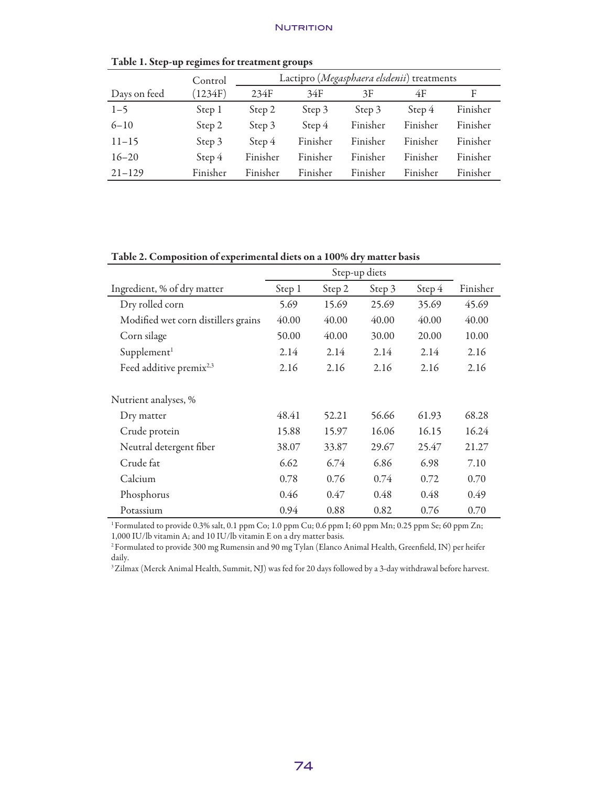|              | Control  |          |          | Lactipro (Megasphaera elsdenii) treatments |          |          |  |  |  |
|--------------|----------|----------|----------|--------------------------------------------|----------|----------|--|--|--|
| Days on feed | (1234F)  | 234F     | 34F      | 3F                                         | 4F       | F        |  |  |  |
| $1 - 5$      | Step 1   | Step 2   | Step 3   | Step 3                                     | Step 4   | Finisher |  |  |  |
| $6 - 10$     | Step 2   | Step 3   | Step 4   | Finisher                                   | Finisher | Finisher |  |  |  |
| $11 - 15$    | Step 3   | Step 4   | Finisher | Finisher                                   | Finisher | Finisher |  |  |  |
| $16 - 20$    | Step 4   | Finisher | Finisher | Finisher                                   | Finisher | Finisher |  |  |  |
| $21 - 129$   | Finisher | Finisher | Finisher | Finisher                                   | Finisher | Finisher |  |  |  |

Table 1. Step-up regimes for treatment groups

#### Table 2. Composition of experimental diets on a 100% dry matter basis

| Ingredient, % of dry matter         | Step 1 | Step 2 | Step 3 | Step 4 | Finisher |
|-------------------------------------|--------|--------|--------|--------|----------|
| Dry rolled corn                     | 5.69   | 15.69  | 25.69  | 35.69  | 45.69    |
| Modified wet corn distillers grains | 40.00  | 40.00  | 40.00  | 40.00  | 40.00    |
| Corn silage                         | 50.00  | 40.00  | 30.00  | 20.00  | 10.00    |
| Supplement <sup>1</sup>             | 2.14   | 2.14   | 2.14   | 2.14   | 2.16     |
| Feed additive premix <sup>2,3</sup> | 2.16   | 2.16   | 2.16   | 2.16   | 2.16     |
| Nutrient analyses, %                |        |        |        |        |          |
| Dry matter                          | 48.41  | 52.21  | 56.66  | 61.93  | 68.28    |
| Crude protein                       | 15.88  | 15.97  | 16.06  | 16.15  | 16.24    |
| Neutral detergent fiber             | 38.07  | 33.87  | 29.67  | 25.47  | 21.27    |
| Crude fat                           | 6.62   | 6.74   | 6.86   | 6.98   | 7.10     |
| Calcium                             | 0.78   | 0.76   | 0.74   | 0.72   | 0.70     |
| Phosphorus                          | 0.46   | 0.47   | 0.48   | 0.48   | 0.49     |
| Potassium                           | 0.94   | 0.88   | 0.82   | 0.76   | 0.70     |

<sup>1</sup> Formulated to provide 0.3% salt, 0.1 ppm Co; 1.0 ppm Cu; 0.6 ppm I; 60 ppm Mn; 0.25 ppm Se; 60 ppm Zn; 1,000 IU/lb vitamin A; and 10 IU/lb vitamin E on a dry matter basis.

2 Formulated to provide 300 mg Rumensin and 90 mg Tylan (Elanco Animal Health, Greenfield, IN) per heifer daily.

<sup>3</sup> Zilmax (Merck Animal Health, Summit, NJ) was fed for 20 days followed by a 3-day withdrawal before harvest.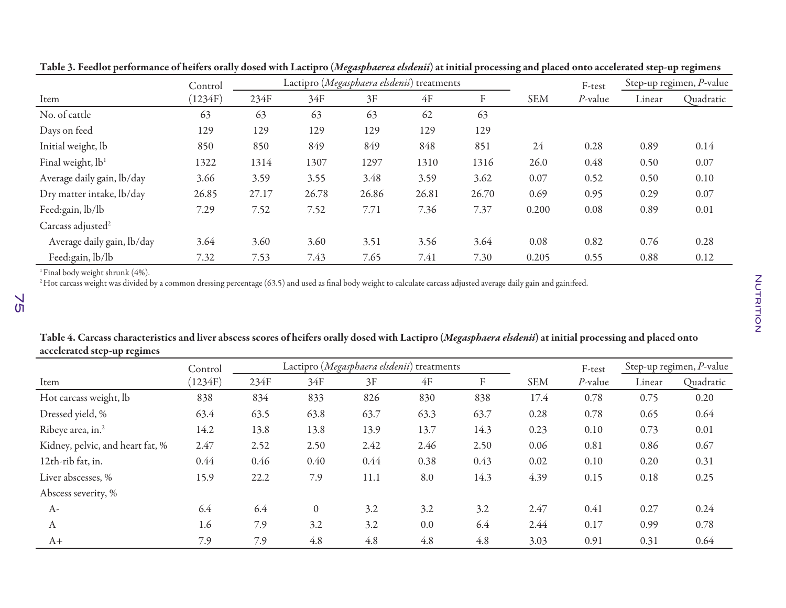|                               | Control | Lactipro (Megasphaera elsdenii) treatments |       |       |       |       |            | F-test     | Step-up regimen, P-value |           |
|-------------------------------|---------|--------------------------------------------|-------|-------|-------|-------|------------|------------|--------------------------|-----------|
| Item                          | (1234F) | 234F                                       | 34F   | 3F    | 4F    | F     | <b>SEM</b> | $P$ -value | Linear                   | Quadratic |
| No. of cattle                 | 63      | 63                                         | 63    | 63    | 62    | 63    |            |            |                          |           |
| Days on feed                  | 129     | 129                                        | 129   | 129   | 129   | 129   |            |            |                          |           |
| Initial weight, lb            | 850     | 850                                        | 849   | 849   | 848   | 851   | 24         | 0.28       | 0.89                     | 0.14      |
| Final weight, lb <sup>1</sup> | 1322    | 1314                                       | 1307  | 1297  | 1310  | 1316  | 26.0       | 0.48       | 0.50                     | 0.07      |
| Average daily gain, lb/day    | 3.66    | 3.59                                       | 3.55  | 3.48  | 3.59  | 3.62  | 0.07       | 0.52       | 0.50                     | 0.10      |
| Dry matter intake, lb/day     | 26.85   | 27.17                                      | 26.78 | 26.86 | 26.81 | 26.70 | 0.69       | 0.95       | 0.29                     | 0.07      |
| Feed:gain, lb/lb              | 7.29    | 7.52                                       | 7.52  | 7.71  | 7.36  | 7.37  | 0.200      | 0.08       | 0.89                     | 0.01      |
| Carcass adjusted <sup>2</sup> |         |                                            |       |       |       |       |            |            |                          |           |
| Average daily gain, lb/day    | 3.64    | 3.60                                       | 3.60  | 3.51  | 3.56  | 3.64  | 0.08       | 0.82       | 0.76                     | 0.28      |
| Feed:gain, lb/lb              | 7.32    | 7.53                                       | 7.43  | 7.65  | 7.41  | 7.30  | 0.205      | 0.55       | 0.88                     | 0.12      |

Table 3. Feedlot performance of heifers orally dosed with Lactipro (*Megasphaerea elsdenii*) at initial processing and placed onto accelerated step-up regimens

 $1$  Final body weight shrunk (4%).

<sup>2</sup>Hot carcass weight was divided by a common dressing percentage (63.5) and used as final body weight to calculate carcass adjusted average daily gain and gain:feed.

| Table 4. Carcass characteristics and liver abscess scores of heifers orally dosed with Lactipro (Megasphaera elsdenii) at initial processing and placed onto |  |
|--------------------------------------------------------------------------------------------------------------------------------------------------------------|--|
| accelerated step-up regimes                                                                                                                                  |  |

|                                  | Control |      | Lactipro (Megasphaera elsdenii) treatments |      |      |      |            | F-test     | Step-up regimen, P-value |           |
|----------------------------------|---------|------|--------------------------------------------|------|------|------|------------|------------|--------------------------|-----------|
| Item                             | (1234F) | 234F | 34F                                        | 3F   | 4F   | F    | <b>SEM</b> | $P$ -value | Linear                   | Quadratic |
| Hot carcass weight, lb           | 838     | 834  | 833                                        | 826  | 830  | 838  | 17.4       | 0.78       | 0.75                     | 0.20      |
| Dressed yield, %                 | 63.4    | 63.5 | 63.8                                       | 63.7 | 63.3 | 63.7 | 0.28       | 0.78       | 0.65                     | 0.64      |
| Ribeye area, in. <sup>2</sup>    | 14.2    | 13.8 | 13.8                                       | 13.9 | 13.7 | 14.3 | 0.23       | 0.10       | 0.73                     | 0.01      |
| Kidney, pelvic, and heart fat, % | 2.47    | 2.52 | 2.50                                       | 2.42 | 2.46 | 2.50 | 0.06       | 0.81       | 0.86                     | 0.67      |
| 12th-rib fat, in.                | 0.44    | 0.46 | 0.40                                       | 0.44 | 0.38 | 0.43 | 0.02       | 0.10       | 0.20                     | 0.31      |
| Liver abscesses, %               | 15.9    | 22.2 | 7.9                                        | 11.1 | 8.0  | 14.3 | 4.39       | 0.15       | 0.18                     | 0.25      |
| Abscess severity, %              |         |      |                                            |      |      |      |            |            |                          |           |
| $A-$                             | 6.4     | 6.4  | $\theta$                                   | 3.2  | 3.2  | 3.2  | 2.47       | 0.41       | 0.27                     | 0.24      |
| A                                | 1.6     | 7.9  | 3.2                                        | 3.2  | 0.0  | 6.4  | 2.44       | 0.17       | 0.99                     | 0.78      |
| A+                               | 7.9     | 7.9  | 4.8                                        | 4.8  | 4.8  | 4.8  | 3.03       | 0.91       | 0.31                     | 0.64      |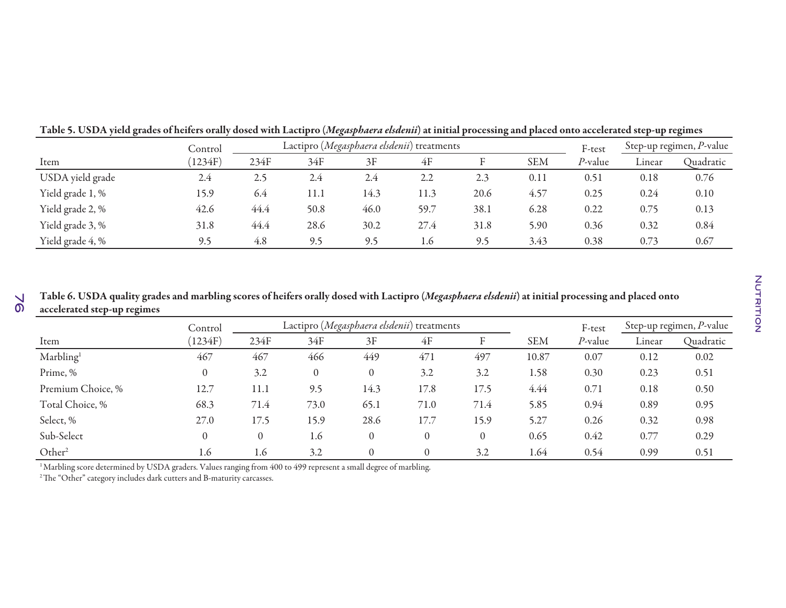|                  | Control | Lactipro (Megasphaera elsdenii) treatments |      |      |      |      |            |         | Step-up regimen, P-value |           |
|------------------|---------|--------------------------------------------|------|------|------|------|------------|---------|--------------------------|-----------|
| Item             | 1234F   | 234F                                       | 34F  | 3F   | 4F   |      | <b>SEM</b> | P-value | Linear                   | Quadratic |
| USDA yield grade | 2.4     | 2.5                                        | 2.4  | 2.4  | 2.2  | 2.3  | 0.11       | 0.51    | 0.18                     | 0.76      |
| Yield grade 1, % | 15.9    | 6.4                                        | 11.1 | 14.3 | 11.3 | 20.6 | 4.57       | 0.25    | 0.24                     | 0.10      |
| Yield grade 2, % | 42.6    | 44.4                                       | 50.8 | 46.0 | 59.7 | 38.1 | 6.28       | 0.22    | 0.75                     | 0.13      |
| Yield grade 3, % | 31.8    | 44.4                                       | 28.6 | 30.2 | 27.4 | 31.8 | 5.90       | 0.36    | 0.32                     | 0.84      |
| Yield grade 4, % | 9.5     | 4.8                                        | 9.5  | 9.5  | 1.6  | 9.5  | 3.43       | 0.38    | 0.73                     | 0.67      |

Table 5. USDA yield grades of heifers orally dosed with Lactipro (*Megasphaera elsdenii*) at initial processing and placed onto accelerated step-up regimes

 $\frac{1}{2}$ Table 6. USDA quality grades and marbling scores of heifers orally dosed with Lactipro (*Megasphaera elsdenii*) at initial processing and placed onto accelerated step-up regimes

|                       | Lactipro (Megasphaera elsdenii) treatments<br>Control |          |          |              |          |          |            | F-test     | Step-up regimen, P-value |           |
|-----------------------|-------------------------------------------------------|----------|----------|--------------|----------|----------|------------|------------|--------------------------|-----------|
| Item                  | (1234F)                                               | 234F     | 34F      | 3F           | 4F       | F        | <b>SEM</b> | $P$ -value | Linear                   | Quadratic |
| Marbling <sup>1</sup> | 467                                                   | 467      | 466      | 449          | 471      | 497      | 10.87      | 0.07       | 0.12                     | 0.02      |
| Prime, %              | $\theta$                                              | 3.2      | $\theta$ | $\mathbf{0}$ | 3.2      | 3.2      | 1.58       | 0.30       | 0.23                     | 0.51      |
| Premium Choice, %     | 12.7                                                  | 11.1     | 9.5      | 14.3         | 17.8     | 17.5     | 4.44       | 0.71       | 0.18                     | 0.50      |
| Total Choice, %       | 68.3                                                  | 71.4     | 73.0     | 65.1         | 71.0     | 71.4     | 5.85       | 0.94       | 0.89                     | 0.95      |
| Select, %             | 27.0                                                  | 17.5     | 15.9     | 28.6         | 17.7     | 15.9     | 5.27       | 0.26       | 0.32                     | 0.98      |
| Sub-Select            | $\theta$                                              | $\theta$ | 1.6      | $\theta$     | $\theta$ | $\theta$ | 0.65       | 0.42       | 0.77                     | 0.29      |
| Other <sup>2</sup>    | 1.6                                                   | 1.6      | 3.2      | $\theta$     | $\theta$ | 3.2      | 1.64       | 0.54       | 0.99                     | 0.51      |

<sup>1</sup> Marbling score determined by USDA graders. Values ranging from 400 to 499 represent a small degree of marbling.

2 The "Other" category includes dark cutters and B-maturity carcasses.